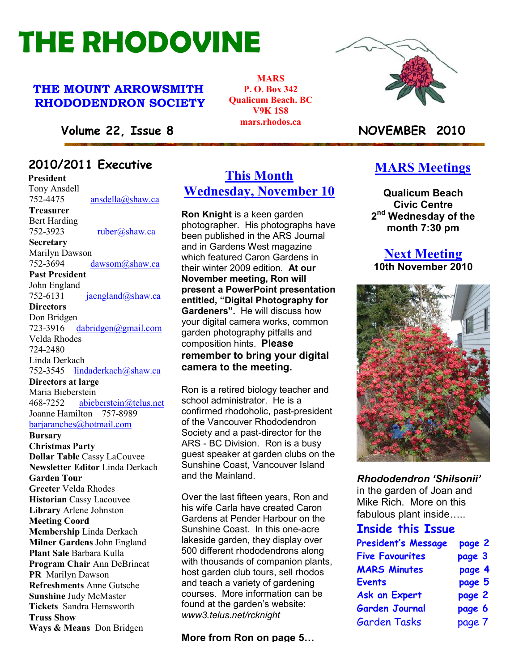# THE RHODOVINE

#### THE MOUNT ARROWSMITH RHODODENDRON SOCIETY

**MARS** P. O. Box 342 Qualicum Beach. BC V9K 1S8 mars.rhodos.ca



#### Volume 22, Issue 8 NOVEMBER 2010

## 22010/2011 Executive

**President Tony Ansdell** 752-4475 ansdella@shaw.ca Treasurer Bert Harding 752-3923 ruber@shaw.ca **Secretary** Marilyn Dawson 752-3694 dawsom@shaw.ca Past President John England<br>752-6131  $iaeneland@shaw.ca$ **Directors** Don Bridgen 723-3916 dabridgen@gmail.com Velda Rhodes 724-2480 Linda Derkach 752-3545 lindaderkach@shaw.ca Directors at large Maria Bieberstein 468-7252 abieberstein@telus.net Joanne Hamilton 757-8989 barjaranches@hotmail.com **Bursary** Christmas Party Dollar Table Cassy LaCouvee Newsletter Editor Linda Derkach Garden Tour Greeter Velda Rhodes Historian Cassy Lacouvee Library Arlene Johnston Meeting Coord Membership Linda Derkach Milner Gardens John England Plant Sale Barbara Kulla Program Chair Ann DeBrincat PR Marilyn Dawson Refreshments Anne Gutsche Sunshine Judy McMaster Tickets Sandra Hemsworth Truss Show Ways & Means Don Bridgen

### This Month Wednesday, November 10

Ron Knight is a keen garden photographer. His photographs have been published in the ARS Journal and in Gardens West magazine which featured Caron Gardens in their winter 2009 edition. At our November meeting, Ron will present a PowerPoint presentation entitled, "Digital Photography for Gardeners". He will discuss how your digital camera works, common garden photography pitfalls and composition hints. Please remember to bring your digital camera to the meeting.

Ron is a retired biology teacher and school administrator. He is a confirmed rhodoholic, past-president of the Vancouver Rhododendron Society and a past-director for the ARS - BC Division. Ron is a busy guest speaker at garden clubs on the Sunshine Coast, Vancouver Island and the Mainland.

PR Marilyn Dawson<br>Refreshments Anne Gutsche and teach a variety of gardening Over the last fifteen years, Ron and his wife Carla have created Caron Gardens at Pender Harbour on the Sunshine Coast. In this one-acre lakeside garden, they display over 500 different rhododendrons along with thousands of companion plants, host garden club tours, sell rhodos courses. More information can be found at the garden's website: www3.telus.net/rcknight

More from Ron on page 5…

#### **MARS** Meetings

Qualicum Beach Civic Centre 2<sup>nd</sup> Wednesday of the month 7:30 pm

#### Next Meeting 10th November 2010



Rhododendron 'Shilsonii' in the garden of Joan and Mike Rich. More on this fabulous plant inside…..

#### Inside this Issue

| <b>President's Message</b> | page 2 |
|----------------------------|--------|
| <b>Five Favourites</b>     | page 3 |
| <b>MARS Minutes</b>        | page 4 |
| <b>Events</b>              | page 5 |
| <b>Ask an Expert</b>       | page 2 |
| <b>Garden Journal</b>      | page 6 |
| <b>Garden Tasks</b>        | page 7 |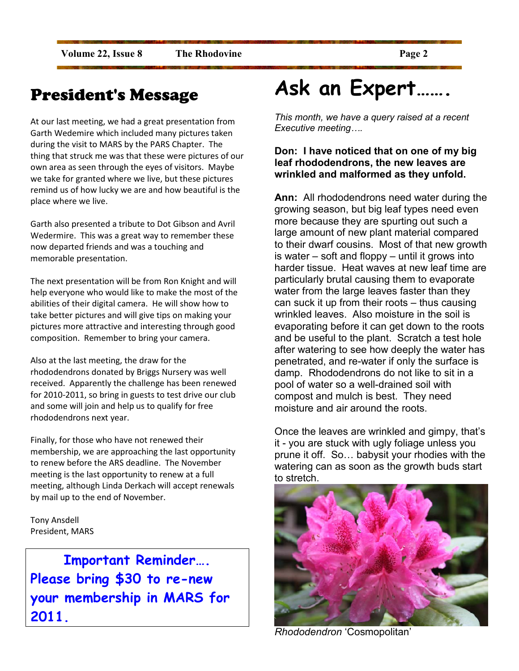## President's Message

At our last meeting, we had a great presentation from Garth Wedemire which included many pictures taken during the visit to MARS by the PARS Chapter. The thing that struck me was that these were pictures of our own area as seen through the eyes of visitors. Maybe we take for granted where we live, but these pictures remind us of how lucky we are and how beautiful is the place where we live.

Garth also presented a tribute to Dot Gibson and Avril Wedermire. This was a great way to remember these now departed friends and was a touching and memorable presentation.

The next presentation will be from Ron Knight and will help everyone who would like to make the most of the abilities of their digital camera. He will show how to take better pictures and will give tips on making your pictures more attractive and interesting through good composition. Remember to bring your camera.

Also at the last meeting, the draw for the rhododendrons donated by Briggs Nursery was well received. Apparently the challenge has been renewed for 2010-2011, so bring in guests to test drive our club and some will join and help us to qualify for free rhododendrons next year.

Finally, for those who have not renewed their membership, we are approaching the last opportunity to renew before the ARS deadline. The November meeting is the last opportunity to renew at a full meeting, although Linda Derkach will accept renewals by mail up to the end of November.

Tony Ansdell President, MARS

Important Reminder…. Please bring \$30 to re-new your membership in MARS for 2011.

## Ask an Expert…….

This month, we have a query raised at a recent Executive meeting….

#### Don: I have noticed that on one of my big leaf rhododendrons, the new leaves are wrinkled and malformed as they unfold.

Ann: All rhododendrons need water during the growing season, but big leaf types need even more because they are spurting out such a large amount of new plant material compared to their dwarf cousins. Most of that new growth is water – soft and floppy – until it grows into harder tissue. Heat waves at new leaf time are particularly brutal causing them to evaporate water from the large leaves faster than they can suck it up from their roots – thus causing wrinkled leaves. Also moisture in the soil is evaporating before it can get down to the roots and be useful to the plant. Scratch a test hole after watering to see how deeply the water has penetrated, and re-water if only the surface is damp. Rhododendrons do not like to sit in a pool of water so a well-drained soil with compost and mulch is best. They need moisture and air around the roots.

Once the leaves are wrinkled and gimpy, that's it - you are stuck with ugly foliage unless you prune it off. So… babysit your rhodies with the watering can as soon as the growth buds start to stretch.



Rhododendron 'Cosmopolitan'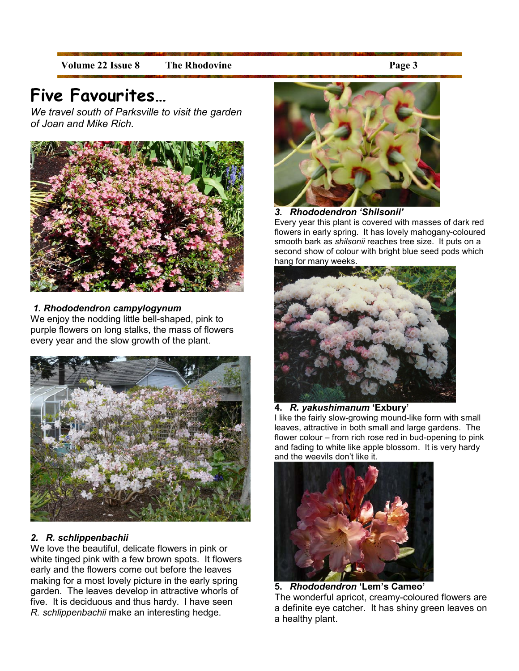Volume 22 Issue 8 The Rhodovine **Page 3** 

## Five Favourites…

We travel south of Parksville to visit the garden of Joan and Mike Rich.



#### 1. Rhododendron campylogynum

We enjoy the nodding little bell-shaped, pink to purple flowers on long stalks, the mass of flowers every year and the slow growth of the plant.



#### 2. R. schlippenbachii

We love the beautiful, delicate flowers in pink or white tinged pink with a few brown spots. It flowers early and the flowers come out before the leaves making for a most lovely picture in the early spring garden. The leaves develop in attractive whorls of five. It is deciduous and thus hardy. I have seen R. schlippenbachii make an interesting hedge.



3. Rhododendron 'Shilsonii'

Every year this plant is covered with masses of dark red flowers in early spring. It has lovely mahogany-coloured smooth bark as shilsonii reaches tree size. It puts on a second show of colour with bright blue seed pods which hang for many weeks.



#### 4. R. yakushimanum 'Exbury'

I like the fairly slow-growing mound-like form with small leaves, attractive in both small and large gardens. The flower colour – from rich rose red in bud-opening to pink and fading to white like apple blossom. It is very hardy and the weevils don't like it.



5. Rhododendron 'Lem's Cameo' The wonderful apricot, creamy-coloured flowers are a definite eye catcher. It has shiny green leaves on a healthy plant.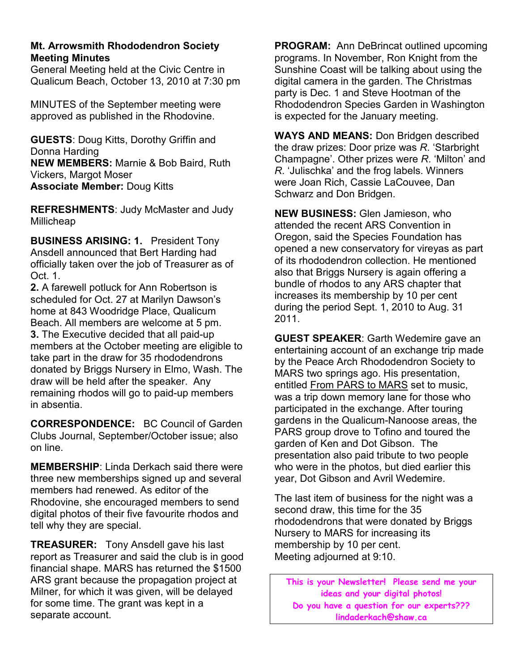#### Mt. Arrowsmith Rhododendron Society Meeting Minutes

General Meeting held at the Civic Centre in Qualicum Beach, October 13, 2010 at 7:30 pm

MINUTES of the September meeting were approved as published in the Rhodovine.

GUESTS: Doug Kitts, Dorothy Griffin and Donna Harding NEW MEMBERS: Marnie & Bob Baird, Ruth Vickers, Margot Moser Associate Member: Doug Kitts

REFRESHMENTS: Judy McMaster and Judy Millicheap

BUSINESS ARISING: 1. President Tony Ansdell announced that Bert Harding had officially taken over the job of Treasurer as of Oct. 1.

2. A farewell potluck for Ann Robertson is scheduled for Oct. 27 at Marilyn Dawson's home at 843 Woodridge Place, Qualicum Beach. All members are welcome at 5 pm. 3. The Executive decided that all paid-up members at the October meeting are eligible to take part in the draw for 35 rhododendrons donated by Briggs Nursery in Elmo, Wash. The draw will be held after the speaker. Any remaining rhodos will go to paid-up members in absentia.

CORRESPONDENCE: BC Council of Garden Clubs Journal, September/October issue; also on line.

MEMBERSHIP: Linda Derkach said there were three new memberships signed up and several members had renewed. As editor of the Rhodovine, she encouraged members to send digital photos of their five favourite rhodos and tell why they are special.

TREASURER: Tony Ansdell gave his last report as Treasurer and said the club is in good financial shape. MARS has returned the \$1500 ARS grant because the propagation project at Milner, for which it was given, will be delayed for some time. The grant was kept in a separate account.

PROGRAM: Ann DeBrincat outlined upcoming programs. In November, Ron Knight from the Sunshine Coast will be talking about using the digital camera in the garden. The Christmas party is Dec. 1 and Steve Hootman of the Rhododendron Species Garden in Washington is expected for the January meeting.

WAYS AND MEANS: Don Bridgen described the draw prizes: Door prize was R. 'Starbright Champagne'. Other prizes were R. 'Milton' and R. 'Julischka' and the frog labels. Winners were Joan Rich, Cassie LaCouvee, Dan Schwarz and Don Bridgen.

NEW BUSINESS: Glen Jamieson, who attended the recent ARS Convention in Oregon, said the Species Foundation has opened a new conservatory for vireyas as part of its rhododendron collection. He mentioned also that Briggs Nursery is again offering a bundle of rhodos to any ARS chapter that increases its membership by 10 per cent during the period Sept. 1, 2010 to Aug. 31 2011.

GUEST SPEAKER: Garth Wedemire gave an entertaining account of an exchange trip made by the Peace Arch Rhododendron Society to MARS two springs ago. His presentation, entitled From PARS to MARS set to music, was a trip down memory lane for those who participated in the exchange. After touring gardens in the Qualicum-Nanoose areas, the PARS group drove to Tofino and toured the garden of Ken and Dot Gibson. The presentation also paid tribute to two people who were in the photos, but died earlier this year, Dot Gibson and Avril Wedemire.

The last item of business for the night was a second draw, this time for the 35 rhododendrons that were donated by Briggs Nursery to MARS for increasing its membership by 10 per cent. Meeting adjourned at 9:10.

This is your Newsletter! Please send me your ideas and your digital photos! Do you have a question for our experts??? lindaderkach@shaw.ca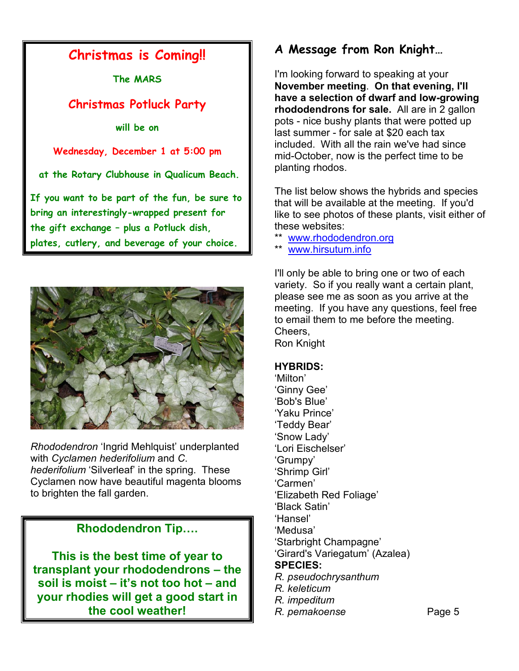### Christmas is Coming!!

The MARS

#### Christmas Potluck Party

will be on

Wednesday, December 1 at 5:00 pm

at the Rotary Clubhouse in Qualicum Beach.

If you want to be part of the fun, be sure to bring an interestingly-wrapped present for the gift exchange – plus a Potluck dish, plates, cutlery, and beverage of your choice.



Rhododendron 'Ingrid Mehlquist' underplanted with Cyclamen hederifolium and C. hederifolium 'Silverleaf' in the spring. These Cyclamen now have beautiful magenta blooms to brighten the fall garden.

#### Rhododendron Tip….

This is the best time of year to transplant your rhododendrons – the soil is moist – it's not too hot – and your rhodies will get a good start in the cool weather!

#### A Message from Ron Knight…

I'm looking forward to speaking at your November meeting. On that evening, I'll have a selection of dwarf and low-growing rhododendrons for sale. All are in 2 gallon pots - nice bushy plants that were potted up last summer - for sale at \$20 each tax included. With all the rain we've had since mid-October, now is the perfect time to be planting rhodos.

The list below shows the hybrids and species that will be available at the meeting. If you'd like to see photos of these plants, visit either of these websites:

- \*\* www.rhododendron.org
	- www.hirsutum.info

I'll only be able to bring one or two of each variety. So if you really want a certain plant, please see me as soon as you arrive at the meeting. If you have any questions, feel free to email them to me before the meeting. Cheers,

Ron Knight

#### HYBRIDS:

'Milton' 'Ginny Gee' 'Bob's Blue' 'Yaku Prince' 'Teddy Bear' 'Snow Lady' 'Lori Eischelser' 'Grumpy' 'Shrimp Girl' 'Carmen' 'Elizabeth Red Foliage' 'Black Satin' 'Hansel' 'Medusa' 'Starbright Champagne' 'Girard's Variegatum' (Azalea) SPECIES: R. pseudochrysanthum R. keleticum R. impeditum

R. pemakoense Page 5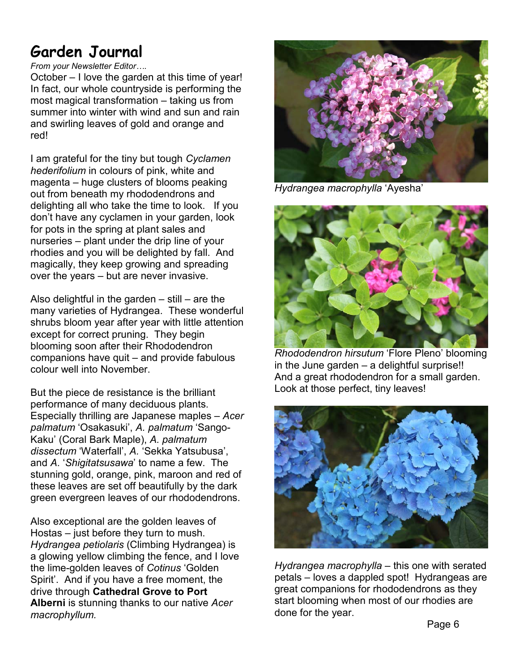## Garden Journal

#### From your Newsletter Editor….

October – I love the garden at this time of year! In fact, our whole countryside is performing the most magical transformation – taking us from summer into winter with wind and sun and rain and swirling leaves of gold and orange and red!

I am grateful for the tiny but tough Cyclamen hederifolium in colours of pink, white and magenta – huge clusters of blooms peaking out from beneath my rhododendrons and delighting all who take the time to look. If you don't have any cyclamen in your garden, look for pots in the spring at plant sales and nurseries – plant under the drip line of your rhodies and you will be delighted by fall. And magically, they keep growing and spreading over the years – but are never invasive.

Also delightful in the garden  $-$  still  $-$  are the many varieties of Hydrangea. These wonderful shrubs bloom year after year with little attention except for correct pruning. They begin blooming soon after their Rhododendron companions have quit – and provide fabulous colour well into November.

But the piece de resistance is the brilliant performance of many deciduous plants. Especially thrilling are Japanese maples – Acer palmatum 'Osakasuki', A. palmatum 'Sango-Kaku' (Coral Bark Maple), A. palmatum dissectum 'Waterfall', A. 'Sekka Yatsubusa', and A. 'Shigitatsusawa' to name a few. The stunning gold, orange, pink, maroon and red of these leaves are set off beautifully by the dark green evergreen leaves of our rhododendrons.

Also exceptional are the golden leaves of Hostas – just before they turn to mush. Hydrangea petiolaris (Climbing Hydrangea) is a glowing yellow climbing the fence, and I love the lime-golden leaves of Cotinus 'Golden Spirit'. And if you have a free moment, the drive through Cathedral Grove to Port Alberni is stunning thanks to our native Acer macrophyllum.



Hydrangea macrophylla 'Ayesha'



Rhododendron hirsutum 'Flore Pleno' blooming in the June garden – a delightful surprise!! And a great rhododendron for a small garden. Look at those perfect, tiny leaves!



Hydrangea macrophylla - this one with serated petals – loves a dappled spot! Hydrangeas are great companions for rhododendrons as they start blooming when most of our rhodies are done for the year.